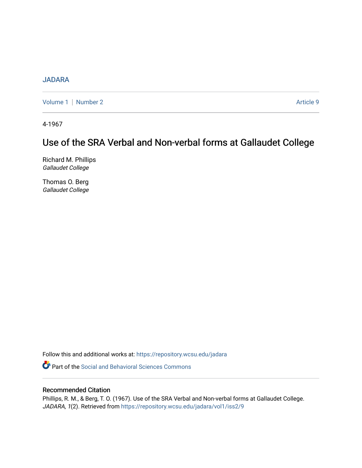## [JADARA](https://repository.wcsu.edu/jadara)

[Volume 1](https://repository.wcsu.edu/jadara/vol1) | [Number 2](https://repository.wcsu.edu/jadara/vol1/iss2) Article 9

4-1967

# Use of the SRA Verbal and Non-verbal forms at Gallaudet College

Richard M. Phillips Gallaudet College

Thomas O. Berg Gallaudet College

Follow this and additional works at: [https://repository.wcsu.edu/jadara](https://repository.wcsu.edu/jadara?utm_source=repository.wcsu.edu%2Fjadara%2Fvol1%2Fiss2%2F9&utm_medium=PDF&utm_campaign=PDFCoverPages)

**Part of the Social and Behavioral Sciences Commons** 

### Recommended Citation

Phillips, R. M., & Berg, T. O. (1967). Use of the SRA Verbal and Non-verbal forms at Gallaudet College. JADARA, 1(2). Retrieved from [https://repository.wcsu.edu/jadara/vol1/iss2/9](https://repository.wcsu.edu/jadara/vol1/iss2/9?utm_source=repository.wcsu.edu%2Fjadara%2Fvol1%2Fiss2%2F9&utm_medium=PDF&utm_campaign=PDFCoverPages)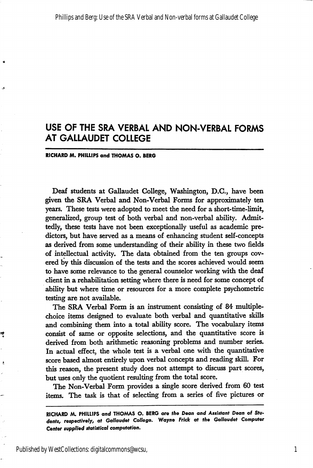## USE OF THE SRA VERBAL AND NON-VERBAL FORMS AT GALLAUDET COLLEGE

#### RICHARD M. PHILLIPS and THOMAS O. BERG

Deaf students at Gallaudet College, Washington, D.C., have been given the SRA Verbal and Non-Verbal Forms for approximately ten years. These tests were adopted to meet the need for a short-time-limit, generalized, group test of both verbal and non-verbal ability. Admit tedly, these tests have not been exceptionally useful as academic pre dictors, but have served as a means of enhancing student self-concepts as derived from some understanding of their ability in these two fields of intellectual activity. The data obtained from the ten groups cov ered by this discussion of the tests and the scores achieved would seem to have some relevance to the general counselor working with the deaf client in a rehabilitation setting where there is need for some concept of ability but where time or resources for a more complete psychometric testing are not available.

The SRA Verbal Form is an instrument consisting of 84 multiplechoice items designed to evaluate both verbal and quantitative skills and combining them into a total ability score. The vocabulary items consist of same or opposite selections, and the quantitative score is derived from both arithmetic reasoning problems and number series. In actual effect, the whole test is a verbal one with the quantitative score based almost entirely upon verbal concepts and reading skill. For this reason, the present study does not attempt to discuss part scores, but uses only the quotient resulting from the total score.

The Non-Verbal Form provides a single score derived from 60 test items. The task is that of selecting from a series of five pictures or

Published by WestCollections: digitalcommons@wcsu,

嚩

1

RICHARD AA. PHILLIPS and THOMAS O. BERG ore the Dean and Assistant Dean of Stu dents, respectively, at Gallaudet College, Wayne Frick at the Gallaudet Computer Center supplied statistical computation.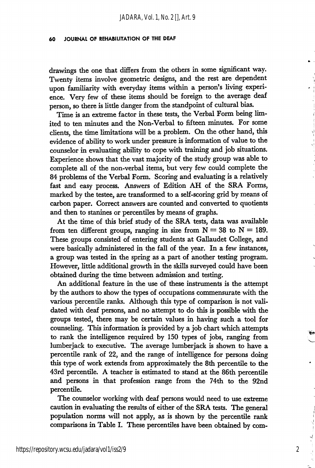#### 60 JOURNAL OF REHABILITATION OF THE DEAF

drawings the one that differs from the others in some significant way. Twenty items involve geometric designs, and the rest are dependent upon familiarity with everyday items within a person's living experi ence. Very few of these items should be foreign to the average deaf person, so there is little danger from the standpoint of cultural bias.

Time is an extreme factor in these tests, the Verbal Form being lim ited to ten minutes and the Non-Verbal to fifteen minutes. For some clients, the time limitations will be a problem. On the other hand, this evidence of ability to work under pressure is information of value to the counselor in evaluating ability to cope with training and job situations. Experience shows that the vast majority of the study group was able to complete all of the non-verbal items, but very few could complete the 84 problems of the Verbal Form. Scoring and evaluating is a relatively fast and easy process. Answers of Edition AH of the SRA Forms, marked by the testee, are transformed to a self-scoring grid by means of carbon paper. Correct answers are counted and converted to quotients and then to stanines or percentiles by means of graphs.

At the time of this brief study of the SRA tests, data was available from ten different groups, ranging in size from  $N = 38$  to  $N = 189$ . These groups consisted of entering students at Gallaudet College, and were basically administered in the fall of the year. In a few instances, a group was tested in the spring as a part of another testing program. However, little additional growth in the skills surveyed could have been obtained during the time between admission and testing.

An additional feature in the use of these instruments is the attempt by the authors to show the types of occupations commensurate with the various percentile ranks. Although this type of comparison is not vali dated with deaf persons, and no attempt to do this is possible with the groups tested, there may be certain values in having such a tool for counseling. This information is provided by a job chart which attempts to rank the intelligence required by 150 types of jobs, ranging from lumberjack to executive. The average lumberjack is shown to have a percentile rank of 22, and the range of intelligence for persons doing this type of work extends from approximately the 8th percentile to the 43rd percentile. A teacher is estimated to stand at the 86th percentile and persons in that profession range from the 74th to the 92nd percentile.

The counselor working with deaf persons would need to use extreme caution in evaluating the results of either of the SRA tests. The general population norms will not apply, as is shown by the percentile rank comparisons in Table I. These percentiles have been obtained by com-

2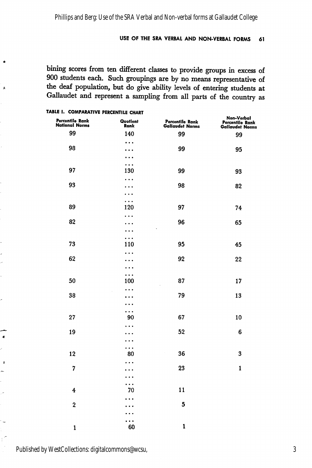#### USE OF THE SRA VERBAL AND NON-VERBAL FORMS 61

bining scores from ten different classes to provide groups in excess of 900 students each. Such groupings are by no means representative of the deaf population, but do give ability levels of entering students at Gallaudet and represent a sampling from all parts of the country as

| Percentile Rank<br>National Norms | Quotient<br>Rank      | Percentile Rank<br>Gallaudet Norms | Non-Verbal<br>Percentile Rank<br>Gallaudet Norms |
|-----------------------------------|-----------------------|------------------------------------|--------------------------------------------------|
| 99                                | 140                   | 99                                 | 99                                               |
|                                   | $\ddotsc$             |                                    |                                                  |
| 98                                | . .<br>$\bullet$      | 99                                 | 95                                               |
|                                   | $\ddotsc$             |                                    |                                                  |
| 97                                | $\ddotsc$<br>130      | 99                                 | 93                                               |
|                                   | $\cdots$              |                                    |                                                  |
| 93                                |                       | 98                                 | 82                                               |
|                                   |                       |                                    |                                                  |
|                                   | .                     |                                    |                                                  |
| 89                                | 120                   | 97                                 | 74                                               |
| 82                                | .<br>×.               | 96                                 | 65                                               |
|                                   | $\bullet$             |                                    |                                                  |
|                                   | $\cdots$              |                                    |                                                  |
| 73                                | 110                   | 95                                 | 45                                               |
|                                   | . .<br>$\bullet$      |                                    |                                                  |
| 62                                |                       | 92                                 | 22                                               |
|                                   | $\bullet$<br>$\cdots$ |                                    |                                                  |
| 50                                | 100                   | 87                                 | 17                                               |
|                                   | .                     |                                    |                                                  |
| 38                                | $\bullet$             | 79                                 | 13                                               |
|                                   | $\bullet$             |                                    |                                                  |
| 27                                | $\cdots$<br>90        | 67                                 | 10                                               |
|                                   | $\ddot{\phantom{0}}$  |                                    |                                                  |
| 19                                | $\bullet$             | 52                                 | 6                                                |
|                                   | .                     |                                    |                                                  |
|                                   | .                     | 36<br>Ŷ,                           | 3                                                |
| 12                                | 80                    |                                    |                                                  |
| 7                                 | .<br>$\bullet$        | 23                                 | $\mathbf{1}$                                     |
|                                   | $\ddot{\phantom{0}}$  |                                    |                                                  |
|                                   | $\ddotsc$             |                                    |                                                  |
| 4                                 | 70                    | 11                                 |                                                  |
| $\overline{\mathbf{2}}$           | $\bullet$             | 5                                  |                                                  |
|                                   | ٠                     |                                    |                                                  |
|                                   | $\ddot{\phantom{1}}$  |                                    |                                                  |
| $\mathbf{1}$                      | 60                    | $\mathbf{1}$                       |                                                  |

#### TABLE I. COMPARATIVE PERCENTILE CHART

 $\lambda$ 

 $\bullet$ ż  $\ddot{\phantom{a}}$ 

 $\overline{a}$ 

 $\ddot{\phantom{a}}$ 

Published by WestCollections: digitalcommons@wcsu,